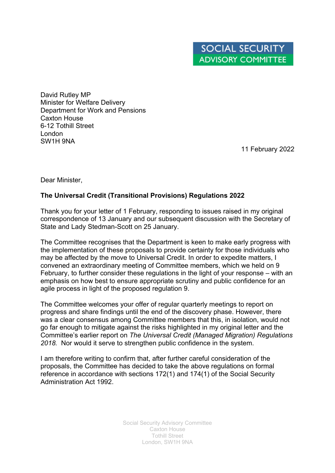David Rutley MP Minister for Welfare Delivery Department for Work and Pensions Caxton House 6-12 Tothill Street London SW1H 9NA

11 February 2022

Dear Minister,

## **The Universal Credit (Transitional Provisions) Regulations 2022**

Thank you for your letter of 1 February, responding to issues raised in my original correspondence of 13 January and our subsequent discussion with the Secretary of State and Lady Stedman-Scott on 25 January.

The Committee recognises that the Department is keen to make early progress with the implementation of these proposals to provide certainty for those individuals who may be affected by the move to Universal Credit. In order to expedite matters, I convened an extraordinary meeting of Committee members, which we held on 9 February, to further consider these regulations in the light of your response – with an emphasis on how best to ensure appropriate scrutiny and public confidence for an agile process in light of the proposed regulation 9.

The Committee welcomes your offer of regular quarterly meetings to report on progress and share findings until the end of the discovery phase. However, there was a clear consensus among Committee members that this, in isolation, would not go far enough to mitigate against the risks highlighted in my original letter and the Committee's earlier report on *The Universal Credit (Managed Migration) Regulations 2018.* Nor would it serve to strengthen public confidence in the system.

I am therefore writing to confirm that, after further careful consideration of the proposals, the Committee has decided to take the above regulations on formal reference in accordance with sections 172(1) and 174(1) of the Social Security Administration Act 1992.

> Social Security Advisory Committee Caxton House Tothill Street London, SW1H 9NA